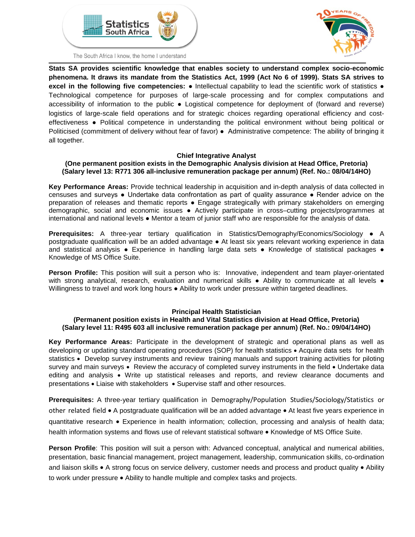





**Stats SA provides scientific knowledge that enables society to understand complex socio-economic phenomena. It draws its mandate from the Statistics Act, 1999 (Act No 6 of 1999). Stats SA strives to excel in the following five competencies:** ● Intellectual capability to lead the scientific work of statistics ● Technological competence for purposes of large-scale processing and for complex computations and accessibility of information to the public ● Logistical competence for deployment of (forward and reverse) logistics of large-scale field operations and for strategic choices regarding operational efficiency and costeffectiveness ● Political competence in understanding the political environment without being political or Politicised (commitment of delivery without fear of favor) ● Administrative competence: The ability of bringing it all together.

#### **Chief Integrative Analyst**

#### **(One permanent position exists in the Demographic Analysis division at Head Office, Pretoria) (Salary level 13: R771 306 all-inclusive remuneration package per annum) (Ref. No.: 08/04/14HO)**

**Key Performance Areas:** Provide technical leadership in acquisition and in-depth analysis of data collected in censuses and surveys ● Undertake data confrontation as part of quality assurance ● Render advice on the preparation of releases and thematic reports ● Engage strategically with primary stakeholders on emerging demographic, social and economic issues ● Actively participate in cross–cutting projects/programmes at international and national levels ● Mentor a team of junior staff who are responsible for the analysis of data.

**Prerequisites:** A three-year tertiary qualification in Statistics/Demography/Economics/Sociology ● A postgraduate qualification will be an added advantage ● At least six years relevant working experience in data and statistical analysis • Experience in handling large data sets • Knowledge of statistical packages • Knowledge of MS Office Suite.

**Person Profile:** This position will suit a person who is: Innovative, independent and team player-orientated with strong analytical, research, evaluation and numerical skills • Ability to communicate at all levels • Willingness to travel and work long hours ● Ability to work under pressure within targeted deadlines.

#### **Principal Health Statistician**

#### **(Permanent position exists in Health and Vital Statistics division at Head Office, Pretoria) (Salary level 11: R495 603 all inclusive remuneration package per annum) (Ref. No.: 09/04/14HO)**

**Key Performance Areas:** Participate in the development of strategic and operational plans as well as developing or updating standard operating procedures (SOP) for health statistics • Acquire data sets for health statistics • Develop survey instruments and review training manuals and support training activities for piloting survey and main surveys • Review the accuracy of completed survey instruments in the field • Undertake data editing and analysis • Write up statistical releases and reports, and review clearance documents and presentations • Liaise with stakeholders • Supervise staff and other resources.

**Prerequisites:** A three-year tertiary qualification in Demography/Population Studies/Sociology/Statistics or other related field • A postgraduate qualification will be an added advantage • At least five years experience in quantitative research • Experience in health information; collection, processing and analysis of health data; health information systems and flows use of relevant statistical software • Knowledge of MS Office Suite.

**Person Profile**: This position will suit a person with: Advanced conceptual, analytical and numerical abilities, presentation, basic financial management, project management, leadership, communication skills, co-ordination and liaison skills • A strong focus on service delivery, customer needs and process and product quality • Ability to work under pressure • Ability to handle multiple and complex tasks and projects.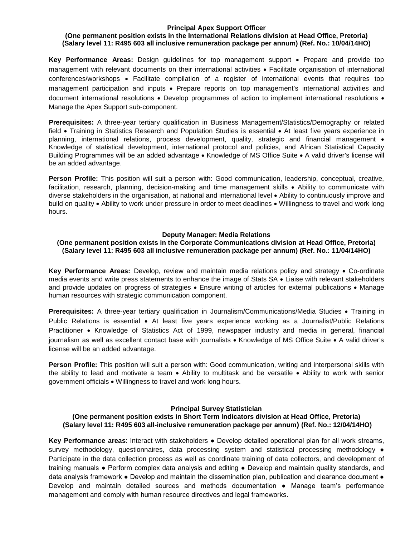#### **Principal Apex Support Officer**

## **(One permanent position exists in the International Relations division at Head Office, Pretoria) (Salary level 11: R495 603 all inclusive remuneration package per annum) (Ref. No.: 10/04/14HO)**

**Key Performance Areas:** Design guidelines for top management support • Prepare and provide top management with relevant documents on their international activities • Facilitate organisation of international conferences/workshops • Facilitate compilation of a register of international events that requires top management participation and inputs • Prepare reports on top management's international activities and document international resolutions • Develop programmes of action to implement international resolutions • Manage the Apex Support sub-component.

**Prerequisites:** A three-year tertiary qualification in Business Management/Statistics/Demography or related field • Training in Statistics Research and Population Studies is essential • At least five years experience in planning, international relations, process development, quality, strategic and financial management • Knowledge of statistical development, international protocol and policies, and African Statistical Capacity Building Programmes will be an added advantage • Knowledge of MS Office Suite • A valid driver's license will be an added advantage.

**Person Profile:** This position will suit a person with: Good communication, leadership, conceptual, creative, facilitation, research, planning, decision-making and time management skills • Ability to communicate with diverse stakeholders in the organisation, at national and international level • Ability to continuously improve and build on quality • Ability to work under pressure in order to meet deadlines • Willingness to travel and work long hours.

#### **Deputy Manager: Media Relations**

#### **(One permanent position exists in the Corporate Communications division at Head Office, Pretoria) (Salary level 11: R495 603 all inclusive remuneration package per annum) (Ref. No.: 11/04/14HO)**

**Key Performance Areas:** Develop, review and maintain media relations policy and strategy • Co-ordinate media events and write press statements to enhance the image of Stats SA • Liaise with relevant stakeholders and provide updates on progress of strategies • Ensure writing of articles for external publications • Manage human resources with strategic communication component.

**Prerequisites:** A three-year tertiary qualification in Journalism/Communications/Media Studies • Training in Public Relations is essential • At least five years experience working as a Journalist/Public Relations Practitioner • Knowledge of Statistics Act of 1999, newspaper industry and media in general, financial journalism as well as excellent contact base with journalists • Knowledge of MS Office Suite • A valid driver's license will be an added advantage.

**Person Profile:** This position will suit a person with: Good communication, writing and interpersonal skills with the ability to lead and motivate a team • Ability to multitask and be versatile • Ability to work with senior government officials • Willingness to travel and work long hours.

#### **Principal Survey Statistician**

## **(One permanent position exists in Short Term Indicators division at Head Office, Pretoria) (Salary level 11: R495 603 all-inclusive remuneration package per annum) (Ref. No.: 12/04/14HO)**

**Key Performance areas**: Interact with stakeholders ● Develop detailed operational plan for all work streams, survey methodology, questionnaires, data processing system and statistical processing methodology  $\bullet$ Participate in the data collection process as well as coordinate training of data collectors, and development of training manuals ● Perform complex data analysis and editing ● Develop and maintain quality standards, and data analysis framework • Develop and maintain the dissemination plan, publication and clearance document • Develop and maintain detailed sources and methods documentation ● Manage team's performance management and comply with human resource directives and legal frameworks.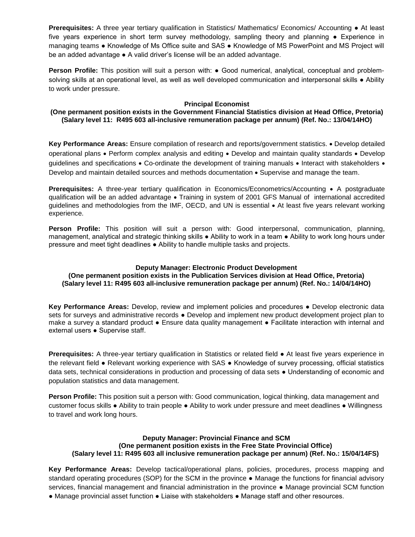**Prerequisites:** A three year tertiary qualification in Statistics/ Mathematics/ Economics/ Accounting ● At least five years experience in short term survey methodology, sampling theory and planning • Experience in managing teams ● Knowledge of Ms Office suite and SAS ● Knowledge of MS PowerPoint and MS Project will be an added advantage • A valid driver's license will be an added advantage.

**Person Profile:** This position will suit a person with: ● Good numerical, analytical, conceptual and problemsolving skills at an operational level, as well as well developed communication and interpersonal skills • Ability to work under pressure.

## **Principal Economist**

#### **(One permanent position exists in the Government Financial Statistics division at Head Office, Pretoria) (Salary level 11: R495 603 all-inclusive remuneration package per annum) (Ref. No.: 13/04/14HO)**

**Key Performance Areas:** Ensure compilation of research and reports/government statistics. • Develop detailed operational plans • Perform complex analysis and editing • Develop and maintain quality standards • Develop guidelines and specifications • Co-ordinate the development of training manuals • Interact with stakeholders • Develop and maintain detailed sources and methods documentation • Supervise and manage the team.

**Prerequisites:** A three-year tertiary qualification in Economics/Econometrics/Accounting • A postgraduate qualification will be an added advantage • Training in system of 2001 GFS Manual of international accredited guidelines and methodologies from the IMF, OECD, and UN is essential • At least five years relevant working experience.

**Person Profile:** This position will suit a person with: Good interpersonal, communication, planning, management, analytical and strategic thinking skills • Ability to work in a team • Ability to work long hours under pressure and meet tight deadlines ● Ability to handle multiple tasks and projects.

#### **Deputy Manager: Electronic Product Development**

**(One permanent position exists in the Publication Services division at Head Office, Pretoria) (Salary level 11: R495 603 all-inclusive remuneration package per annum) (Ref. No.: 14/04/14HO)**

**Key Performance Areas:** Develop, review and implement policies and procedures ● Develop electronic data sets for surveys and administrative records • Develop and implement new product development project plan to make a survey a standard product ● Ensure data quality management ● Facilitate interaction with internal and external users ● Supervise staff.

**Prerequisites:** A three-year tertiary qualification in Statistics or related field ● At least five years experience in the relevant field ● Relevant working experience with SAS ● Knowledge of survey processing, official statistics data sets, technical considerations in production and processing of data sets ● Understanding of economic and population statistics and data management.

**Person Profile:** This position suit a person with: Good communication, logical thinking, data management and customer focus skills ● Ability to train people ● Ability to work under pressure and meet deadlines ● Willingness to travel and work long hours.

#### **Deputy Manager: Provincial Finance and SCM (One permanent position exists in the Free State Provincial Office) (Salary level 11: R495 603 all inclusive remuneration package per annum) (Ref. No.: 15/04/14FS)**

**Key Performance Areas:** Develop tactical/operational plans, policies, procedures, process mapping and standard operating procedures (SOP) for the SCM in the province ● Manage the functions for financial advisory services, financial management and financial administration in the province ● Manage provincial SCM function ● Manage provincial asset function ● Liaise with stakeholders ● Manage staff and other resources.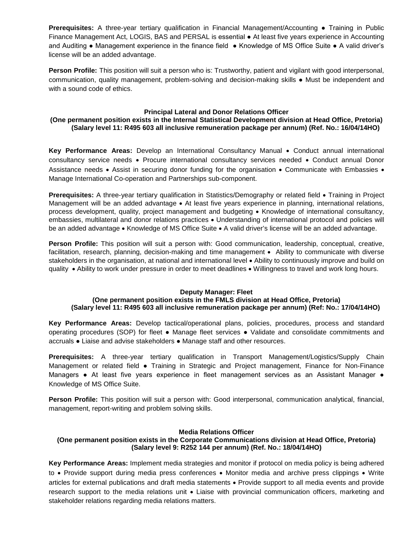**Prerequisites:** A three-year tertiary qualification in Financial Management/Accounting ● Training in Public Finance Management Act, LOGIS, BAS and PERSAL is essential • At least five years experience in Accounting and Auditing ● Management experience in the finance field ● Knowledge of MS Office Suite ● A valid driver's license will be an added advantage.

**Person Profile:** This position will suit a person who is: Trustworthy, patient and vigilant with good interpersonal, communication, quality management, problem-solving and decision-making skills ● Must be independent and with a sound code of ethics.

## **Principal Lateral and Donor Relations Officer**

**(One permanent position exists in the Internal Statistical Development division at Head Office, Pretoria) (Salary level 11: R495 603 all inclusive remuneration package per annum) (Ref. No.: 16/04/14HO)**

**Key Performance Areas:** Develop an International Consultancy Manual • Conduct annual international consultancy service needs • Procure international consultancy services needed • Conduct annual Donor Assistance needs • Assist in securing donor funding for the organisation • Communicate with Embassies • Manage International Co-operation and Partnerships sub-component.

**Prerequisites:** A three-year tertiary qualification in Statistics/Demography or related field • Training in Project Management will be an added advantage • At least five years experience in planning, international relations, process development, quality, project management and budgeting • Knowledge of international consultancy, embassies, multilateral and donor relations practices • Understanding of international protocol and policies will be an added advantage • Knowledge of MS Office Suite • A valid driver's license will be an added advantage.

**Person Profile:** This position will suit a person with: Good communication, leadership, conceptual, creative, facilitation, research, planning, decision-making and time management • Ability to communicate with diverse stakeholders in the organisation, at national and international level • Ability to continuously improve and build on quality • Ability to work under pressure in order to meet deadlines • Willingness to travel and work long hours.

#### **Deputy Manager: Fleet**

#### **(One permanent position exists in the FMLS division at Head Office, Pretoria) (Salary level 11: R495 603 all inclusive remuneration package per annum) (Ref: No.: 17/04/14HO)**

**Key Performance Areas:** Develop tactical/operational plans, policies, procedures, process and standard operating procedures (SOP) for fleet ● Manage fleet services ● Validate and consolidate commitments and accruals ● Liaise and advise stakeholders ● Manage staff and other resources.

**Prerequisites:** A three-year tertiary qualification in Transport Management/Logistics/Supply Chain Management or related field • Training in Strategic and Project management, Finance for Non-Finance Managers • At least five years experience in fleet management services as an Assistant Manager • Knowledge of MS Office Suite.

**Person Profile:** This position will suit a person with: Good interpersonal, communication analytical, financial, management, report-writing and problem solving skills.

#### **Media Relations Officer**

## **(One permanent position exists in the Corporate Communications division at Head Office, Pretoria) (Salary level 9: R252 144 per annum) (Ref. No.: 18/04/14HO)**

**Key Performance Areas:** Implement media strategies and monitor if protocol on media policy is being adhered to • Provide support during media press conferences • Monitor media and archive press clippings • Write articles for external publications and draft media statements • Provide support to all media events and provide research support to the media relations unit • Liaise with provincial communication officers, marketing and stakeholder relations regarding media relations matters.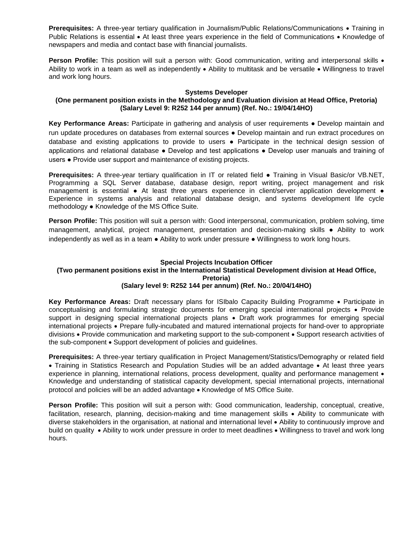**Prerequisites:** A three-year tertiary qualification in Journalism/Public Relations/Communications • Training in Public Relations is essential • At least three years experience in the field of Communications • Knowledge of newspapers and media and contact base with financial journalists.

**Person Profile:** This position will suit a person with: Good communication, writing and interpersonal skills • Ability to work in a team as well as independently • Ability to multitask and be versatile • Willingness to travel and work long hours.

#### **Systems Developer**

## **(One permanent position exists in the Methodology and Evaluation division at Head Office, Pretoria) (Salary Level 9: R252 144 per annum) (Ref. No.: 19/04/14HO)**

**Key Performance Areas:** Participate in gathering and analysis of user requirements ● Develop maintain and run update procedures on databases from external sources ● Develop maintain and run extract procedures on database and existing applications to provide to users ● Participate in the technical design session of applications and relational database ● Develop and test applications ● Develop user manuals and training of users ● Provide user support and maintenance of existing projects.

**Prerequisites:** A three-year tertiary qualification in IT or related field ● Training in Visual Basic/or VB.NET, Programming a SQL Server database, database design, report writing, project management and risk management is essential • At least three years experience in client/server application development • Experience in systems analysis and relational database design, and systems development life cycle methodology ● Knowledge of the MS Office Suite.

**Person Profile:** This position will suit a person with: Good interpersonal, communication, problem solving, time management, analytical, project management, presentation and decision-making skills ● Ability to work independently as well as in a team ● Ability to work under pressure ● Willingness to work long hours.

#### **Special Projects Incubation Officer**

# **(Two permanent positions exist in the International Statistical Development division at Head Office, Pretoria)**

# **(Salary level 9: R252 144 per annum) (Ref. No.: 20/04/14HO)**

**Key Performance Areas:** Draft necessary plans for ISIbalo Capacity Building Programme • Participate in conceptualising and formulating strategic documents for emerging special international projects • Provide support in designing special international projects plans • Draft work programmes for emerging special international projects • Prepare fully-incubated and matured international projects for hand-over to appropriate divisions • Provide communication and marketing support to the sub-component • Support research activities of the sub-component • Support development of policies and guidelines.

**Prerequisites:** A three-year tertiary qualification in Project Management/Statistics/Demography or related field • Training in Statistics Research and Population Studies will be an added advantage • At least three years experience in planning, international relations, process development, quality and performance management • Knowledge and understanding of statistical capacity development, special international projects, international protocol and policies will be an added advantage • Knowledge of MS Office Suite.

**Person Profile:** This position will suit a person with: Good communication, leadership, conceptual, creative, facilitation, research, planning, decision-making and time management skills • Ability to communicate with diverse stakeholders in the organisation, at national and international level • Ability to continuously improve and build on quality • Ability to work under pressure in order to meet deadlines • Willingness to travel and work long hours.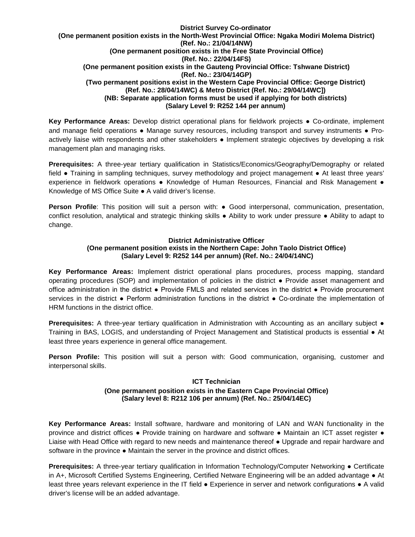#### **District Survey Co-ordinator (One permanent position exists in the North-West Provincial Office: Ngaka Modiri Molema District) (Ref. No.: 21/04/14NW) (One permanent position exists in the Free State Provincial Office) (Ref. No.: 22/04/14FS) (One permanent position exists in the Gauteng Provincial Office: Tshwane District) (Ref. No.: 23/04/14GP) (Two permanent positions exist in the Western Cape Provincial Office: George District) (Ref. No.: 28/04/14WC) & Metro District (Ref. No.: 29/04/14WC]) (NB: Separate application forms must be used if applying for both districts) (Salary Level 9: R252 144 per annum)**

**Key Performance Areas:** Develop district operational plans for fieldwork projects ● Co-ordinate, implement and manage field operations • Manage survey resources, including transport and survey instruments • Proactively liaise with respondents and other stakeholders ● Implement strategic objectives by developing a risk management plan and managing risks.

**Prerequisites:** A three-year tertiary qualification in Statistics/Economics/Geography/Demography or related field ● Training in sampling techniques, survey methodology and project management ● At least three years' experience in fieldwork operations ● Knowledge of Human Resources, Financial and Risk Management ● Knowledge of MS Office Suite ● A valid driver's license.

**Person Profile**: This position will suit a person with: ● Good interpersonal, communication, presentation, conflict resolution, analytical and strategic thinking skills ● Ability to work under pressure ● Ability to adapt to change.

## **District Administrative Officer (One permanent position exists in the Northern Cape: John Taolo District Office) (Salary Level 9: R252 144 per annum) (Ref. No.: 24/04/14NC)**

**Key Performance Areas:** Implement district operational plans procedures, process mapping, standard operating procedures (SOP) and implementation of policies in the district ● Provide asset management and office administration in the district ● Provide FMLS and related services in the district ● Provide procurement services in the district • Perform administration functions in the district • Co-ordinate the implementation of HRM functions in the district office.

**Prerequisites:** A three-year tertiary qualification in Administration with Accounting as an ancillary subject ● Training in BAS, LOGIS, and understanding of Project Management and Statistical products is essential ● At least three years experience in general office management.

**Person Profile:** This position will suit a person with: Good communication, organising, customer and interpersonal skills.

## **ICT Technician (One permanent position exists in the Eastern Cape Provincial Office) (Salary level 8: R212 106 per annum) (Ref. No.: 25/04/14EC)**

**Key Performance Areas:** Install software, hardware and monitoring of LAN and WAN functionality in the province and district offices ● Provide training on hardware and software ● Maintain an ICT asset register ● Liaise with Head Office with regard to new needs and maintenance thereof ● Upgrade and repair hardware and software in the province • Maintain the server in the province and district offices.

**Prerequisites:** A three-year tertiary qualification in Information Technology/Computer Networking ● Certificate in A+, Microsoft Certified Systems Engineering, Certified Netware Engineering will be an added advantage ● At least three years relevant experience in the IT field ● Experience in server and network configurations ● A valid driver's license will be an added advantage.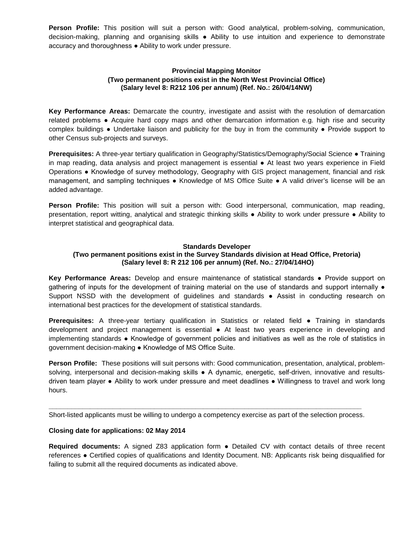**Person Profile:** This position will suit a person with: Good analytical, problem-solving, communication, decision-making, planning and organising skills ● Ability to use intuition and experience to demonstrate accuracy and thoroughness ● Ability to work under pressure.

## **Provincial Mapping Monitor (Two permanent positions exist in the North West Provincial Office) (Salary level 8: R212 106 per annum) (Ref. No.: 26/04/14NW)**

**Key Performance Areas:** Demarcate the country, investigate and assist with the resolution of demarcation related problems ● Acquire hard copy maps and other demarcation information e.g. high rise and security complex buildings ● Undertake liaison and publicity for the buy in from the community ● Provide support to other Census sub-projects and surveys.

**Prerequisites:** A three-year tertiary qualification in Geography/Statistics/Demography/Social Science ● Training in map reading, data analysis and project management is essential ● At least two years experience in Field Operations ● Knowledge of survey methodology, Geography with GIS project management, financial and risk management, and sampling techniques • Knowledge of MS Office Suite • A valid driver's license will be an added advantage.

**Person Profile:** This position will suit a person with: Good interpersonal, communication, map reading, presentation, report witting, analytical and strategic thinking skills ● Ability to work under pressure ● Ability to interpret statistical and geographical data.

## **Standards Developer**

## **(Two permanent positions exist in the Survey Standards division at Head Office, Pretoria) (Salary level 8: R 212 106 per annum) (Ref. No.: 27/04/14HO)**

**Key Performance Areas:** Develop and ensure maintenance of statistical standards ● Provide support on gathering of inputs for the development of training material on the use of standards and support internally  $\bullet$ Support NSSD with the development of guidelines and standards ● Assist in conducting research on international best practices for the development of statistical standards.

**Prerequisites:** A three-year tertiary qualification in Statistics or related field ● Training in standards development and project management is essential ● At least two years experience in developing and implementing standards ● Knowledge of government policies and initiatives as well as the role of statistics in government decision-making ● Knowledge of MS Office Suite.

**Person Profile:** These positions will suit persons with: Good communication, presentation, analytical, problemsolving, interpersonal and decision-making skills • A dynamic, energetic, self-driven, innovative and resultsdriven team player ● Ability to work under pressure and meet deadlines ● Willingness to travel and work long hours.

**\_\_\_\_\_\_\_\_\_\_\_\_\_\_\_\_\_\_\_\_\_\_\_\_\_\_\_\_\_\_\_\_\_\_\_\_\_\_\_\_\_\_\_\_\_\_\_\_\_\_\_\_\_\_\_\_\_\_\_\_\_\_\_\_\_\_\_\_\_\_\_\_\_\_\_\_\_\_\_\_\_\_\_** Short-listed applicants must be willing to undergo a competency exercise as part of the selection process.

#### **Closing date for applications: 02 May 2014**

**Required documents:** A signed Z83 application form ● Detailed CV with contact details of three recent references ● Certified copies of qualifications and Identity Document. NB: Applicants risk being disqualified for failing to submit all the required documents as indicated above.